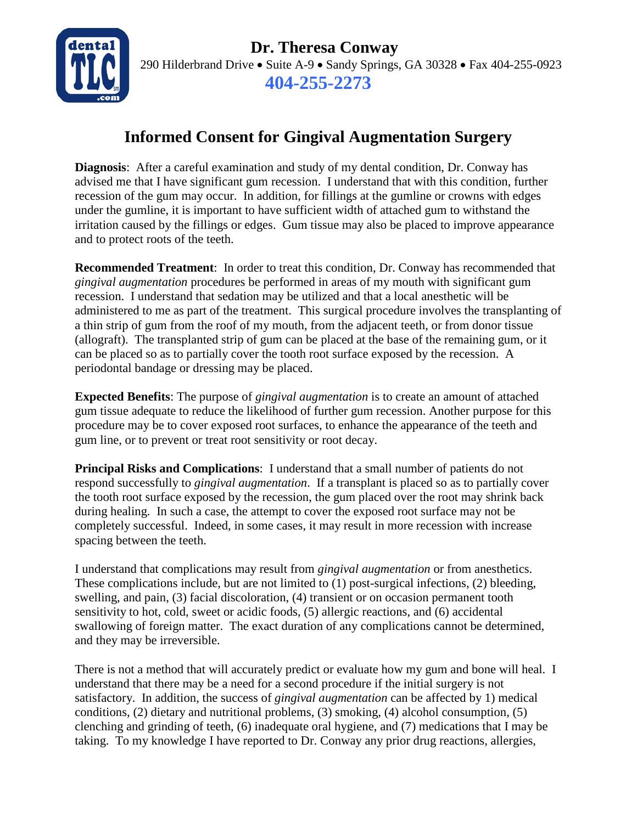

 **Dr. Theresa Conway** 290 Hilderbrand Drive • Suite A-9 • Sandy Springs, GA 30328 • Fax 404-255-0923 **404-255-2273**

## **Informed Consent for Gingival Augmentation Surgery**

**Diagnosis**: After a careful examination and study of my dental condition, Dr. Conway has advised me that I have significant gum recession. I understand that with this condition, further recession of the gum may occur. In addition, for fillings at the gumline or crowns with edges under the gumline, it is important to have sufficient width of attached gum to withstand the irritation caused by the fillings or edges. Gum tissue may also be placed to improve appearance and to protect roots of the teeth.

**Recommended Treatment**: In order to treat this condition, Dr. Conway has recommended that *gingival augmentation* procedures be performed in areas of my mouth with significant gum recession. I understand that sedation may be utilized and that a local anesthetic will be administered to me as part of the treatment. This surgical procedure involves the transplanting of a thin strip of gum from the roof of my mouth, from the adjacent teeth, or from donor tissue (allograft). The transplanted strip of gum can be placed at the base of the remaining gum, or it can be placed so as to partially cover the tooth root surface exposed by the recession. A periodontal bandage or dressing may be placed.

**Expected Benefits**: The purpose of *gingival augmentation* is to create an amount of attached gum tissue adequate to reduce the likelihood of further gum recession. Another purpose for this procedure may be to cover exposed root surfaces, to enhance the appearance of the teeth and gum line, or to prevent or treat root sensitivity or root decay.

**Principal Risks and Complications**: I understand that a small number of patients do not respond successfully to *gingival augmentation*. If a transplant is placed so as to partially cover the tooth root surface exposed by the recession, the gum placed over the root may shrink back during healing. In such a case, the attempt to cover the exposed root surface may not be completely successful. Indeed, in some cases, it may result in more recession with increase spacing between the teeth.

I understand that complications may result from *gingival augmentation* or from anesthetics. These complications include, but are not limited to (1) post-surgical infections, (2) bleeding, swelling, and pain, (3) facial discoloration, (4) transient or on occasion permanent tooth sensitivity to hot, cold, sweet or acidic foods, (5) allergic reactions, and (6) accidental swallowing of foreign matter. The exact duration of any complications cannot be determined, and they may be irreversible.

There is not a method that will accurately predict or evaluate how my gum and bone will heal. I understand that there may be a need for a second procedure if the initial surgery is not satisfactory. In addition, the success of *gingival augmentation* can be affected by 1) medical conditions, (2) dietary and nutritional problems, (3) smoking, (4) alcohol consumption, (5) clenching and grinding of teeth, (6) inadequate oral hygiene, and (7) medications that I may be taking. To my knowledge I have reported to Dr. Conway any prior drug reactions, allergies,